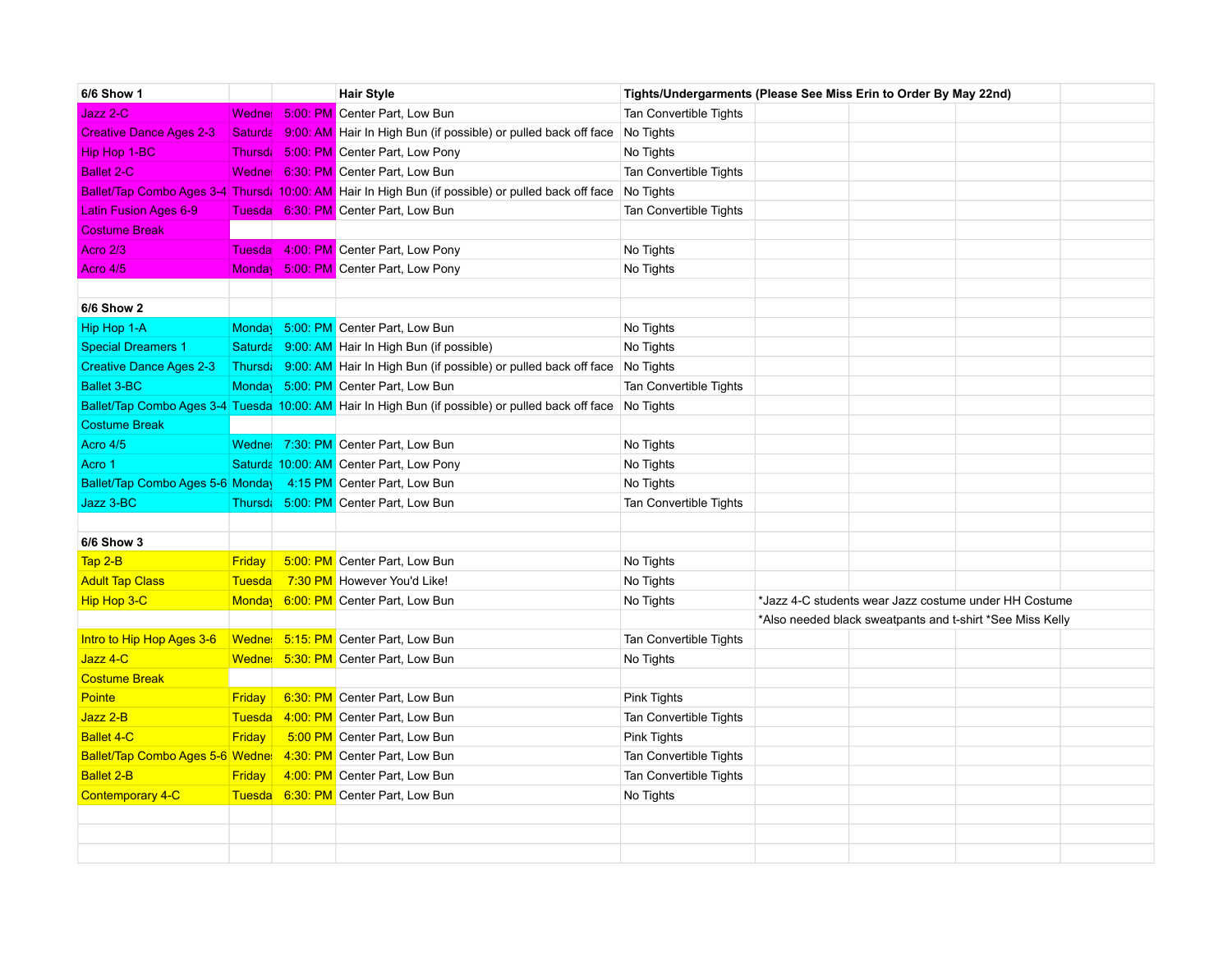| 6/6 Show 1                       |                | <b>Hair Style</b> |                                                                                                             | Tights/Undergarments (Please See Miss Erin to Order By May 22nd) |                                                           |  |  |
|----------------------------------|----------------|-------------------|-------------------------------------------------------------------------------------------------------------|------------------------------------------------------------------|-----------------------------------------------------------|--|--|
| Jazz 2-C                         | Wedne:         |                   | 5:00: PM Center Part, Low Bun                                                                               | Tan Convertible Tights                                           |                                                           |  |  |
| <b>Creative Dance Ages 2-3</b>   | <b>Saturda</b> |                   | 9:00: AM Hair In High Bun (if possible) or pulled back off face                                             | No Tights                                                        |                                                           |  |  |
| Hip Hop 1-BC                     | <b>Thursd:</b> |                   | 5:00: PM Center Part, Low Pony                                                                              | No Tights                                                        |                                                           |  |  |
| <b>Ballet 2-C</b>                | Wedne:         |                   | 6:30: PM Center Part, Low Bun                                                                               | Tan Convertible Tights                                           |                                                           |  |  |
|                                  |                |                   | Ballet/Tap Combo Ages 3-4 Thursd: 10:00: AM Hair In High Bun (if possible) or pulled back off face          | No Tights                                                        |                                                           |  |  |
| <b>Latin Fusion Ages 6-9</b>     |                |                   | Tuesda 6:30: PM Center Part, Low Bun                                                                        | Tan Convertible Tights                                           |                                                           |  |  |
| <b>Costume Break</b>             |                |                   |                                                                                                             |                                                                  |                                                           |  |  |
| <b>Acro 2/3</b>                  | Tuesda         |                   | 4:00: PM Center Part, Low Pony                                                                              | No Tights                                                        |                                                           |  |  |
| Acro 4/5                         | Monday         |                   | 5:00: PM Center Part, Low Pony                                                                              | No Tights                                                        |                                                           |  |  |
|                                  |                |                   |                                                                                                             |                                                                  |                                                           |  |  |
| <b>6/6 Show 2</b>                |                |                   |                                                                                                             |                                                                  |                                                           |  |  |
| Hip Hop 1-A                      | <b>Monday</b>  |                   | 5:00: PM Center Part, Low Bun                                                                               | No Tights                                                        |                                                           |  |  |
| <b>Special Dreamers 1</b>        | <b>Saturda</b> |                   | 9:00: AM Hair In High Bun (if possible)                                                                     | No Tights                                                        |                                                           |  |  |
| <b>Creative Dance Ages 2-3</b>   | <b>Thursd</b>  |                   | 9:00: AM Hair In High Bun (if possible) or pulled back off face No Tights                                   |                                                                  |                                                           |  |  |
| <b>Ballet 3-BC</b>               |                |                   | Monday 5:00: PM Center Part, Low Bun                                                                        | Tan Convertible Tights                                           |                                                           |  |  |
|                                  |                |                   | Ballet/Tap Combo Ages 3-4 Tuesda 10:00: AM Hair In High Bun (if possible) or pulled back off face No Tights |                                                                  |                                                           |  |  |
| <b>Costume Break</b>             |                |                   |                                                                                                             |                                                                  |                                                           |  |  |
| Acro 4/5                         |                |                   | Wedne: 7:30: PM Center Part, Low Bun                                                                        | No Tights                                                        |                                                           |  |  |
| Acro 1                           |                |                   | Saturda 10:00: AM Center Part, Low Pony                                                                     | No Tights                                                        |                                                           |  |  |
| Ballet/Tap Combo Ages 5-6 Monday |                |                   | 4:15 PM Center Part, Low Bun                                                                                | No Tights                                                        |                                                           |  |  |
| Jazz 3-BC                        | <b>Thursd</b>  |                   | 5:00: PM Center Part, Low Bun                                                                               | Tan Convertible Tights                                           |                                                           |  |  |
|                                  |                |                   |                                                                                                             |                                                                  |                                                           |  |  |
| 6/6 Show 3                       |                |                   |                                                                                                             |                                                                  |                                                           |  |  |
| Tap 2-B                          | Friday         |                   | 5:00: PM Center Part, Low Bun                                                                               | No Tights                                                        |                                                           |  |  |
| <b>Adult Tap Class</b>           | <b>Tuesda</b>  |                   | 7:30 PM However You'd Like!                                                                                 | No Tights                                                        |                                                           |  |  |
| Hip Hop 3-C                      | <b>Monday</b>  |                   | 6:00: PM Center Part, Low Bun                                                                               | No Tights                                                        | *Jazz 4-C students wear Jazz costume under HH Costume     |  |  |
|                                  |                |                   |                                                                                                             |                                                                  | *Also needed black sweatpants and t-shirt *See Miss Kelly |  |  |
| Intro to Hip Hop Ages 3-6        |                |                   | Wedne: 5:15: PM Center Part, Low Bun                                                                        | Tan Convertible Tights                                           |                                                           |  |  |
| Jazz 4-C                         |                |                   | Wedne: 5:30: PM Center Part, Low Bun                                                                        | No Tights                                                        |                                                           |  |  |
| <b>Costume Break</b>             |                |                   |                                                                                                             |                                                                  |                                                           |  |  |
| <b>Pointe</b>                    | Friday         |                   | 6:30: PM Center Part, Low Bun                                                                               | <b>Pink Tights</b>                                               |                                                           |  |  |
| Jazz 2-B                         | <b>Tuesda</b>  |                   | 4:00: PM Center Part, Low Bun                                                                               | Tan Convertible Tights                                           |                                                           |  |  |
| <b>Ballet 4-C</b>                | Friday         |                   | 5:00 PM Center Part, Low Bun                                                                                | Pink Tights                                                      |                                                           |  |  |
| Ballet/Tap Combo Ages 5-6 Wedne  |                |                   | 4:30: PM Center Part, Low Bun                                                                               | Tan Convertible Tights                                           |                                                           |  |  |
| <b>Ballet 2-B</b>                | Friday         |                   | 4:00: PM Center Part, Low Bun                                                                               | Tan Convertible Tights                                           |                                                           |  |  |
| Contemporary 4-C                 |                |                   | Tuesda 6:30: PM Center Part, Low Bun                                                                        | No Tights                                                        |                                                           |  |  |
|                                  |                |                   |                                                                                                             |                                                                  |                                                           |  |  |
|                                  |                |                   |                                                                                                             |                                                                  |                                                           |  |  |
|                                  |                |                   |                                                                                                             |                                                                  |                                                           |  |  |